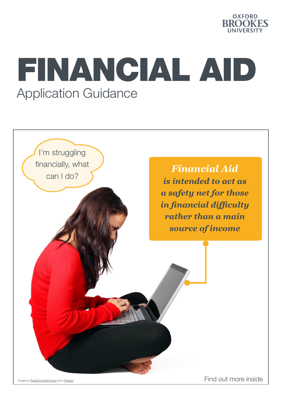

# FINANCIAL AID Application Guidance



Image by [PublicDomainPictures](https://pixabay.com/users/publicdomainpictures-14/) from [Pixabay](https://pixabay.com/?utm_source=link-attribution&utm_medium=referral&utm_campaign=image&utm_content=2820657) Find out more inside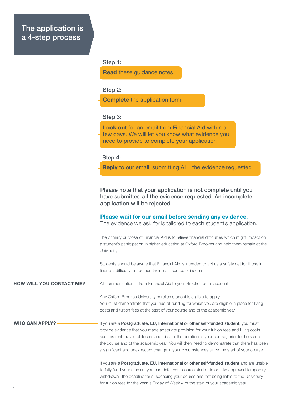### The application is a 4-step process

#### Step 1:

Read these guidance notes

Step 2:

Complete the application form

#### Step 3:

Look out for an email from Financial Aid within a few days. We will let you know what evidence you need to provide to complete your application

#### Step 4:

Reply to our email, submitting ALL the evidence requested

Please note that your application is not complete until you have submitted all the evidence requested. An incomplete application will be rejected.

#### Please wait for our email before sending any evidence.

The evidence we ask for is tailored to each student's application.

The primary purpose of Financial Aid is to relieve financial difficulties which might impact on a student's participation in higher education at Oxford Brookes and help them remain at the University.

Students should be aware that Financial Aid is intended to act as a safety net for those in financial difficulty rather than their main source of income.

All communication is from Financial Aid to your Brookes email account. HOW WILL YOU CONTACT ME? -

> Any Oxford Brookes University enrolled student is eligible to apply. You must demonstrate that you had all funding for which you are eligible in place for living costs and tuition fees at the start of your course and of the academic year.

WHO CAN APPLY?

If you are a Postgraduate, EU, International or other self-funded student, you must provide evidence that you made adequate provision for your tuition fees and living costs such as rent, travel, childcare and bills for the duration of your course, prior to the start of the course and of the academic year. You will then need to demonstrate that there has been a significant and unexpected change in your circumstances since the start of your course.

If you are a Postgraduate, EU, International or other self-funded student and are unable to fully fund your studies, you can defer your course start date or take approved temporary withdrawal: the deadline for suspending your course and not being liable to the University for tuition fees for the year is Friday of Week 4 of the start of your academic year.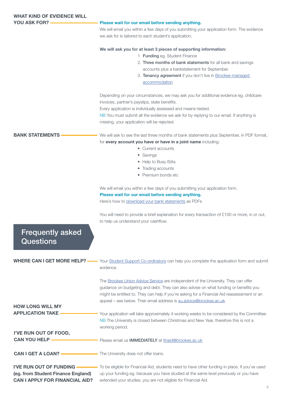| <b>WHAT KIND OF EVIDENCE WILL</b>           |                                                                                                                                                                                                                                                                                                                                                 |
|---------------------------------------------|-------------------------------------------------------------------------------------------------------------------------------------------------------------------------------------------------------------------------------------------------------------------------------------------------------------------------------------------------|
| <b>YOU ASK FOR?</b>                         | Please wait for our email before sending anything.                                                                                                                                                                                                                                                                                              |
|                                             | We will email you within a few days of you submitting your application form. The evidence                                                                                                                                                                                                                                                       |
|                                             | we ask for is tailored to each student's application.                                                                                                                                                                                                                                                                                           |
|                                             | We will ask you for at least 3 pieces of supporting information:                                                                                                                                                                                                                                                                                |
|                                             | 1 Funding eg. Student Finance                                                                                                                                                                                                                                                                                                                   |
|                                             | 2. Three months of bank statements for all bank and savings                                                                                                                                                                                                                                                                                     |
|                                             | accounts plus a bankstatement for September.                                                                                                                                                                                                                                                                                                    |
|                                             | 3. Tenancy agreement if you don't live in Brookes-managed                                                                                                                                                                                                                                                                                       |
|                                             | accommodation                                                                                                                                                                                                                                                                                                                                   |
|                                             | Depending on your circumstances, we may ask you for additional evidence eg. childcare                                                                                                                                                                                                                                                           |
|                                             | invoices, partner's payslips, state benefits.                                                                                                                                                                                                                                                                                                   |
|                                             | Every application is individually assessed and means-tested.                                                                                                                                                                                                                                                                                    |
|                                             | NB You must submit all the evidence we ask for by replying to our email. If anything is                                                                                                                                                                                                                                                         |
|                                             | missing, your application will be rejected.                                                                                                                                                                                                                                                                                                     |
| <b>BANK STATEMENTS</b>                      | We will ask to see the last three months of bank statements plus September, in PDF format,                                                                                                                                                                                                                                                      |
|                                             | for every account you have or have in a joint name including:                                                                                                                                                                                                                                                                                   |
|                                             | • Current accounts                                                                                                                                                                                                                                                                                                                              |
|                                             | • Savings                                                                                                                                                                                                                                                                                                                                       |
|                                             | • Help to Busy ISAs                                                                                                                                                                                                                                                                                                                             |
|                                             | • Trading accounts                                                                                                                                                                                                                                                                                                                              |
|                                             | • Premium bonds etc                                                                                                                                                                                                                                                                                                                             |
|                                             | We will email you within a few days of you submitting your application form.                                                                                                                                                                                                                                                                    |
|                                             | Please wait for our email before sending anything.                                                                                                                                                                                                                                                                                              |
|                                             | Here's how to download your bank statements as PDFs                                                                                                                                                                                                                                                                                             |
|                                             | You will need to provide a brief explanation for every transaction of £100 or more, in or out,                                                                                                                                                                                                                                                  |
|                                             | to help us understand your cashflow.                                                                                                                                                                                                                                                                                                            |
| <b>Frequently asked</b><br><b>Questions</b> |                                                                                                                                                                                                                                                                                                                                                 |
| WHERE CAN I GET MORE HELP? —                | Your Student Support Co-ordinators can help you complete the application form and submit<br>evidence.                                                                                                                                                                                                                                           |
|                                             | The Brookes Union Advice Service are independent of the University. They can offer<br>guidance on budgeting and debt. They can also advise on what funding or benefits you<br>might be entitled to. They can help if you're asking for a Financial Aid reassessment or an<br>appeal - see below. Their email address is su.advice@brookes.ac.uk |
| <b>HOW LONG WILL MY</b>                     |                                                                                                                                                                                                                                                                                                                                                 |
| <b>APPLICATION TAKE</b>                     | Your application will take approximately 4 working weeks to be considered by the Committee.                                                                                                                                                                                                                                                     |
|                                             | NB The University is closed between Christmas and New Year, therefore this is not a                                                                                                                                                                                                                                                             |
| I'VE RUN OUT OF FOOD,                       | working period.                                                                                                                                                                                                                                                                                                                                 |
| <b>CAN YOU HELP -</b>                       |                                                                                                                                                                                                                                                                                                                                                 |
|                                             | Please email us <b>IMMEDIATELY</b> at finaid@brookes.ac.uk                                                                                                                                                                                                                                                                                      |
| <b>CAN I GET A LOAN?</b>                    | The University does not offer loans.                                                                                                                                                                                                                                                                                                            |
| I'VE RUN OUT OF FUNDING —                   | To be eligible for Financial Aid, students need to have other funding in place. If you've used                                                                                                                                                                                                                                                  |
| (eg. from Student Finance England)          | up your funding eg. because you have studied at the same level previously or you have                                                                                                                                                                                                                                                           |
| <b>CAN I APPLY FOR FINANCIAL AID?</b>       | extended your studies, you are not eligible for Financial Aid.                                                                                                                                                                                                                                                                                  |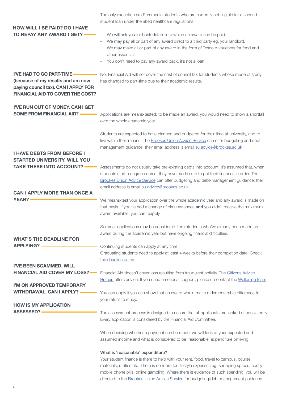|                                                                                                                      | The only exception are Paramedic students who are currently not eligible for a second<br>student loan under the allied healthcare regulations.                                                                                                                                                                                                                                                                       |
|----------------------------------------------------------------------------------------------------------------------|----------------------------------------------------------------------------------------------------------------------------------------------------------------------------------------------------------------------------------------------------------------------------------------------------------------------------------------------------------------------------------------------------------------------|
| <b>HOW WILL I BE PAID? DO I HAVE</b><br>TO REPAY ANY AWARD I GET?<br>I'VE HAD TO GO PART-TIME                        | We will ask you for bank details into which an award can be paid.<br>We may pay all or part of any award direct to a third party eg. your landlord.<br>We may make all or part of any award in the form of Tesco e-vouchers for food and<br>other essentials.<br>You don't need to pay any award back, it's not a loan.<br>No. Financial Aid will not cover the cost of council tax for students whose mode of study |
| (because of my results and am now<br>paying council tax). CAN I APPLY FOR<br><b>FINANCIAL AID TO COVER THE COST?</b> | has changed to part-time due to their academic results.                                                                                                                                                                                                                                                                                                                                                              |
| I'VE RUN OUT OF MONEY, CAN I GET<br><b>SOME FROM FINANCIAL AID?</b>                                                  | Applications are means-tested: to be made an award, you would need to show a shortfall<br>over the whole academic year.                                                                                                                                                                                                                                                                                              |
|                                                                                                                      | Students are expected to have planned and budgeted for their time at university, and to<br>live within their means. The Brookes Union Advice Service can offer budgeting and debt-<br>management guidance; their email address is email su.advice@brookes.ac.uk                                                                                                                                                      |
| <b>I HAVE DEBTS FROM BEFORE I</b><br><b>STARTED UNIVERSITY, WILL YOU</b><br><b>TAKE THESE INTO ACCOUNT?</b>          | Assessments do not usually take pre-existing debts into account. It's assumed that, when                                                                                                                                                                                                                                                                                                                             |
|                                                                                                                      | students start a degree course, they have made sure to put their finances in order. The<br>Brookes Union Advice Service can offer budgeting and debt-management guidance; their<br>email address is email su.advice@brookes.ac.uk                                                                                                                                                                                    |
| <b>CAN I APPLY MORE THAN ONCE A</b>                                                                                  |                                                                                                                                                                                                                                                                                                                                                                                                                      |
| <b>YEAR?</b>                                                                                                         | We means-test your application over the whole academic year and any award is made on<br>that basis. If you've had a change of circumstances and you didn't receive the maximum<br>award available, you can reapply.                                                                                                                                                                                                  |
|                                                                                                                      | Summer applications may be considered from students who've already been made an<br>award during the academic year but have ongoing financial difficulties.                                                                                                                                                                                                                                                           |
| <b>WHAT'S THE DEADLINE FOR</b><br><b>APPLYING? -</b>                                                                 |                                                                                                                                                                                                                                                                                                                                                                                                                      |
|                                                                                                                      | Continuing students can apply at any time.<br>Graduating students need to apply at least 4 weeks before their completion date. Check<br>the deadline dates                                                                                                                                                                                                                                                           |
| <b>I'VE BEEN SCAMMED. WILL</b>                                                                                       |                                                                                                                                                                                                                                                                                                                                                                                                                      |
| <b>FINANCIAL AID COVER MY LOSS? —</b>                                                                                | Financial Aid doesn't cover loss resulting from fraudulent activity. The Citizens Advice<br>Bureau offers advice. If you need emotional support, please do contact the Wellbeing team                                                                                                                                                                                                                                |
| I'M ON APPROVED TEMPORARY<br><b>WITHDRAWAL. CAN I APPLY?</b>                                                         | You can apply if you can show that an award would make a demonstrable difference to<br>your return to study.                                                                                                                                                                                                                                                                                                         |
| <b>HOW IS MY APPLICATION</b>                                                                                         |                                                                                                                                                                                                                                                                                                                                                                                                                      |
| <b>ASSESSED?</b>                                                                                                     | The assessment process is designed to ensure that all applicants are looked at consistently.<br>Every application is considered by the Financial Aid Committee.                                                                                                                                                                                                                                                      |
|                                                                                                                      | When deciding whether a payment can be made, we will look at your expected and<br>assumed income and what is considered to be 'reasonable' expenditure on living.                                                                                                                                                                                                                                                    |
|                                                                                                                      | What is 'reasonable' expenditure?                                                                                                                                                                                                                                                                                                                                                                                    |

Your student finance is there to help with your rent, food, travel to campus, course materials, utilities etc. There is no room for lifestyle expenses eg. shopping sprees, costly mobile phone bills, online gambling. Where there is evidence of such spending, you will be directed to the [Brookes Union Advice Service](https://www.brookesunion.org.uk/advice) for budgeting/debt management guidance.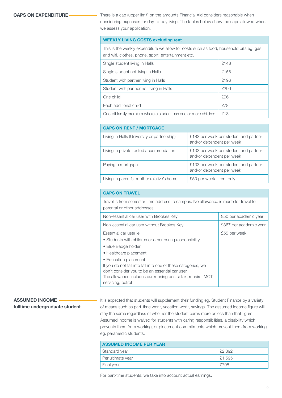#### CAPS ON EXPENDITURE

There is a cap (upper limit) on the amounts Financial Aid considers reasonable when considering expenses for day-to-day living. The tables below show the caps allowed when we assess your application.

#### WEEKLY LIVING COSTS excluding rent

This is the weekly expenditure we allow for costs such as food, household bills eg. gas and wifi, clothes, phone, sport, entertainment etc.

| Single student living in Halls                                  | £148 |
|-----------------------------------------------------------------|------|
| Single student not living in Halls                              | £158 |
| Student with partner living in Halls                            | £196 |
| Student with partner not living in Halls                        | £206 |
| One child                                                       | £96  |
| Each additional child                                           | £78  |
| One-off family premium where a student has one or more children | £18  |

| <b>CAPS ON RENT / MORTGAGE</b>              |                                                                    |  |  |
|---------------------------------------------|--------------------------------------------------------------------|--|--|
| Living in Halls (University or partnership) | £183 per week per student and partner<br>and/or dependent per week |  |  |
| Living in private rented accommodation      | £133 per week per student and partner<br>and/or dependent per week |  |  |
| Paying a mortgage                           | £133 per week per student and partner<br>and/or dependent per week |  |  |
| Living in parent's or other relative's home | £50 per week $-$ rent only                                         |  |  |

| <b>CAPS ON TRAVEL</b>                                                                                                                                                                                                          |                        |  |
|--------------------------------------------------------------------------------------------------------------------------------------------------------------------------------------------------------------------------------|------------------------|--|
| Travel is from semester-time address to campus. No allowance is made for travel to<br>parental or other addresses.                                                                                                             |                        |  |
| Non-essential car user with Brookes Key                                                                                                                                                                                        | £50 per academic year  |  |
| Non-essential car user without Brookes Key                                                                                                                                                                                     | £367 per academic year |  |
| Essential car user ie.<br>• Students with children or other caring responsibility<br>• Blue Badge holder<br>• Healthcare placement                                                                                             | £55 per week           |  |
| • Education placement<br>If you do not fall into fall into one of these categories, we<br>don't consider you to be an essential car user.<br>The allowance includes car-running costs: tax, repairs, MOT,<br>servicing, petrol |                        |  |

#### ASSUMED INCOME fulltime undergraduate student

It is expected that students will supplement their funding eg. Student Finance by a variety of means such as part-time work, vacation work, savings. The assumed income figure will stay the same regardless of whether the student earns more or less than that figure. Assumed income is waived for students with caring responsibilities, a disability which prevents them from working, or placement commitments which prevent them from working eg. paramedic students.

| <b>ASSUMED INCOME PER YEAR</b> |        |  |
|--------------------------------|--------|--|
| Standard year                  | £2,392 |  |
| Penultimate year               | £1.595 |  |
| Final year                     | £798   |  |

For part-time students, we take into account actual earnings.